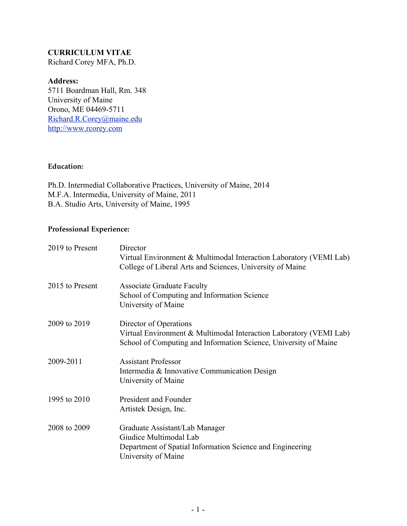## **CURRICULUM VITAE**

Richard Corey MFA, Ph.D.

### **Address:**

5711 Boardman Hall, Rm. 348 University of Maine Orono, ME 04469-5711 [Richard.R.Corey@maine.edu](mailto:Richard.R.Corey@maine.edu) [http://www.rcorey.com](http://www.rcorey.com/)

### **Education:**

Ph.D. Intermedial Collaborative Practices, University of Maine, 2014 M.F.A. Intermedia, University of Maine, 2011 B.A. Studio Arts, University of Maine, 1995

### **Professional Experience:**

| 2019 to Present | Director<br>Virtual Environment & Multimodal Interaction Laboratory (VEMI Lab)<br>College of Liberal Arts and Sciences, University of Maine                      |
|-----------------|------------------------------------------------------------------------------------------------------------------------------------------------------------------|
| 2015 to Present | <b>Associate Graduate Faculty</b><br>School of Computing and Information Science<br>University of Maine                                                          |
| 2009 to 2019    | Director of Operations<br>Virtual Environment & Multimodal Interaction Laboratory (VEMI Lab)<br>School of Computing and Information Science, University of Maine |
| 2009-2011       | <b>Assistant Professor</b><br>Intermedia & Innovative Communication Design<br>University of Maine                                                                |
| 1995 to 2010    | President and Founder<br>Artistek Design, Inc.                                                                                                                   |
| 2008 to 2009    | Graduate Assistant/Lab Manager<br>Giudice Multimodal Lab<br>Department of Spatial Information Science and Engineering<br>University of Maine                     |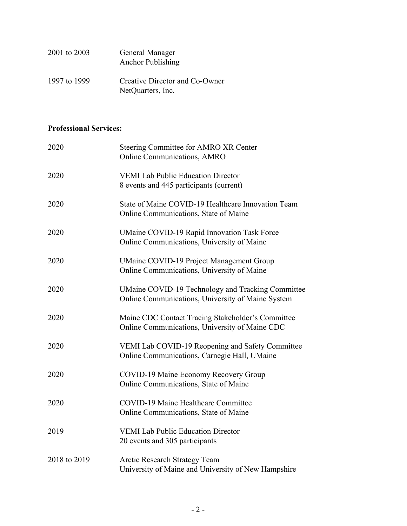| 2001 to 2003 | General Manager<br><b>Anchor Publishing</b>         |
|--------------|-----------------------------------------------------|
| 1997 to 1999 | Creative Director and Co-Owner<br>NetQuarters, Inc. |

# **Professional Services:**

| 2020         | Steering Committee for AMRO XR Center<br>Online Communications, AMRO                                   |
|--------------|--------------------------------------------------------------------------------------------------------|
| 2020         | <b>VEMI Lab Public Education Director</b><br>8 events and 445 participants (current)                   |
| 2020         | State of Maine COVID-19 Healthcare Innovation Team<br>Online Communications, State of Maine            |
| 2020         | <b>UMaine COVID-19 Rapid Innovation Task Force</b><br>Online Communications, University of Maine       |
| 2020         | <b>UMaine COVID-19 Project Management Group</b><br>Online Communications, University of Maine          |
| 2020         | UMaine COVID-19 Technology and Tracking Committee<br>Online Communications, University of Maine System |
| 2020         | Maine CDC Contact Tracing Stakeholder's Committee<br>Online Communications, University of Maine CDC    |
| 2020         | VEMI Lab COVID-19 Reopening and Safety Committee<br>Online Communications, Carnegie Hall, UMaine       |
| 2020         | COVID-19 Maine Economy Recovery Group<br>Online Communications, State of Maine                         |
| 2020         | <b>COVID-19 Maine Healthcare Committee</b><br>Online Communications, State of Maine                    |
| 2019         | <b>VEMI Lab Public Education Director</b><br>20 events and 305 participants                            |
| 2018 to 2019 | <b>Arctic Research Strategy Team</b><br>University of Maine and University of New Hampshire            |
|              |                                                                                                        |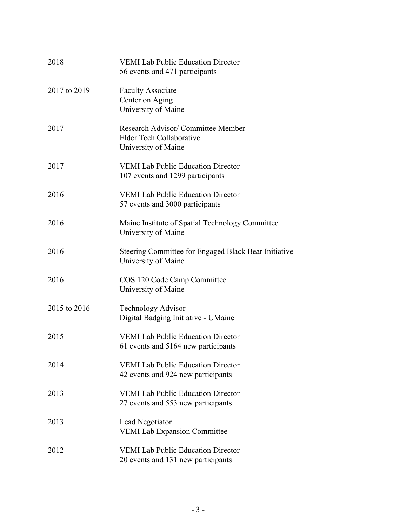| 2018         | <b>VEMI Lab Public Education Director</b><br>56 events and 471 participants           |
|--------------|---------------------------------------------------------------------------------------|
| 2017 to 2019 | <b>Faculty Associate</b><br>Center on Aging<br>University of Maine                    |
| 2017         | Research Advisor/ Committee Member<br>Elder Tech Collaborative<br>University of Maine |
| 2017         | <b>VEMI Lab Public Education Director</b><br>107 events and 1299 participants         |
| 2016         | <b>VEMI Lab Public Education Director</b><br>57 events and 3000 participants          |
| 2016         | Maine Institute of Spatial Technology Committee<br>University of Maine                |
| 2016         | Steering Committee for Engaged Black Bear Initiative<br>University of Maine           |
| 2016         | COS 120 Code Camp Committee<br>University of Maine                                    |
| 2015 to 2016 | <b>Technology Advisor</b><br>Digital Badging Initiative - UMaine                      |
| 2015         | <b>VEMI Lab Public Education Director</b><br>61 events and 5164 new participants      |
| 2014         | <b>VEMI Lab Public Education Director</b><br>42 events and 924 new participants       |
| 2013         | <b>VEMI Lab Public Education Director</b><br>27 events and 553 new participants       |
| 2013         | Lead Negotiator<br><b>VEMI Lab Expansion Committee</b>                                |
| 2012         | <b>VEMI Lab Public Education Director</b><br>20 events and 131 new participants       |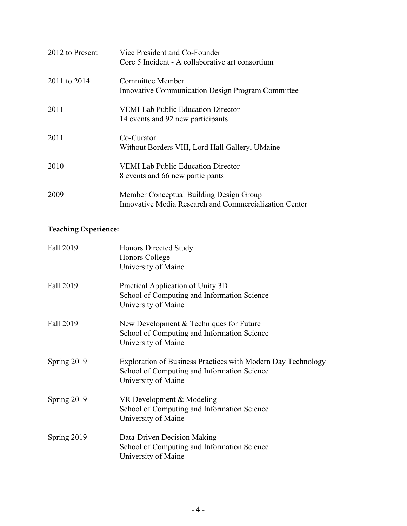| 2012 to Present | Vice President and Co-Founder<br>Core 5 Incident - A collaborative art consortium                 |
|-----------------|---------------------------------------------------------------------------------------------------|
| 2011 to 2014    | Committee Member<br><b>Innovative Communication Design Program Committee</b>                      |
| 2011            | <b>VEMI Lab Public Education Director</b><br>14 events and 92 new participants                    |
| 2011            | Co-Curator<br>Without Borders VIII, Lord Hall Gallery, UMaine                                     |
| 2010            | <b>VEMI</b> Lab Public Education Director<br>8 events and 66 new participants                     |
| 2009            | Member Conceptual Building Design Group<br>Innovative Media Research and Commercialization Center |

# **Teaching Experience:**

| Fall 2019   | Honors Directed Study<br><b>Honors College</b><br>University of Maine                                                              |
|-------------|------------------------------------------------------------------------------------------------------------------------------------|
| Fall 2019   | Practical Application of Unity 3D<br>School of Computing and Information Science<br>University of Maine                            |
| Fall 2019   | New Development & Techniques for Future<br>School of Computing and Information Science<br>University of Maine                      |
| Spring 2019 | Exploration of Business Practices with Modern Day Technology<br>School of Computing and Information Science<br>University of Maine |
| Spring 2019 | VR Development & Modeling<br>School of Computing and Information Science<br>University of Maine                                    |
| Spring 2019 | Data-Driven Decision Making<br>School of Computing and Information Science<br>University of Maine                                  |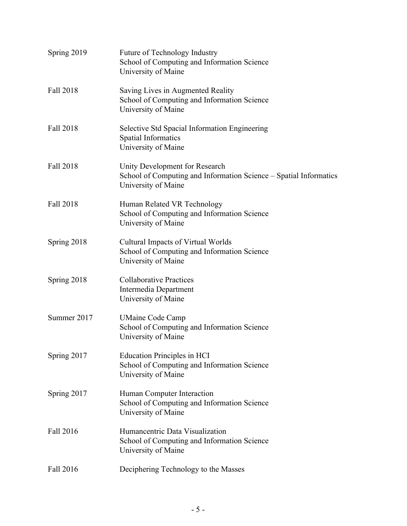| Spring 2019      | <b>Future of Technology Industry</b><br>School of Computing and Information Science<br>University of Maine                 |
|------------------|----------------------------------------------------------------------------------------------------------------------------|
| Fall 2018        | Saving Lives in Augmented Reality<br>School of Computing and Information Science<br>University of Maine                    |
| Fall 2018        | Selective Std Spacial Information Engineering<br><b>Spatial Informatics</b><br>University of Maine                         |
| Fall 2018        | Unity Development for Research<br>School of Computing and Information Science - Spatial Informatics<br>University of Maine |
| <b>Fall 2018</b> | Human Related VR Technology<br>School of Computing and Information Science<br>University of Maine                          |
| Spring 2018      | Cultural Impacts of Virtual Worlds<br>School of Computing and Information Science<br>University of Maine                   |
| Spring 2018      | <b>Collaborative Practices</b><br>Intermedia Department<br>University of Maine                                             |
| Summer 2017      | <b>UMaine Code Camp</b><br>School of Computing and Information Science<br>University of Maine                              |
| Spring 2017      | <b>Education Principles in HCI</b><br>School of Computing and Information Science<br>University of Maine                   |
| Spring 2017      | Human Computer Interaction<br>School of Computing and Information Science<br>University of Maine                           |
| Fall 2016        | Humancentric Data Visualization<br>School of Computing and Information Science<br>University of Maine                      |
| Fall 2016        | Deciphering Technology to the Masses                                                                                       |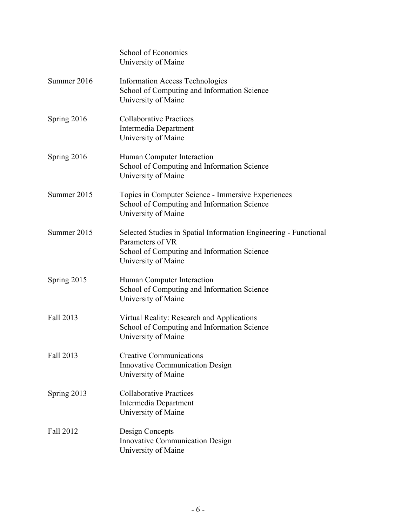|             | School of Economics<br>University of Maine                                                                                                                 |
|-------------|------------------------------------------------------------------------------------------------------------------------------------------------------------|
| Summer 2016 | <b>Information Access Technologies</b><br>School of Computing and Information Science<br>University of Maine                                               |
| Spring 2016 | <b>Collaborative Practices</b><br>Intermedia Department<br>University of Maine                                                                             |
| Spring 2016 | Human Computer Interaction<br>School of Computing and Information Science<br>University of Maine                                                           |
| Summer 2015 | Topics in Computer Science - Immersive Experiences<br>School of Computing and Information Science<br>University of Maine                                   |
| Summer 2015 | Selected Studies in Spatial Information Engineering - Functional<br>Parameters of VR<br>School of Computing and Information Science<br>University of Maine |
| Spring 2015 | Human Computer Interaction<br>School of Computing and Information Science<br>University of Maine                                                           |
| Fall 2013   | Virtual Reality: Research and Applications<br>School of Computing and Information Science<br>University of Maine                                           |
| Fall 2013   | <b>Creative Communications</b><br><b>Innovative Communication Design</b><br>University of Maine                                                            |
| Spring 2013 | <b>Collaborative Practices</b><br>Intermedia Department<br>University of Maine                                                                             |
| Fall 2012   | Design Concepts<br><b>Innovative Communication Design</b><br>University of Maine                                                                           |
|             |                                                                                                                                                            |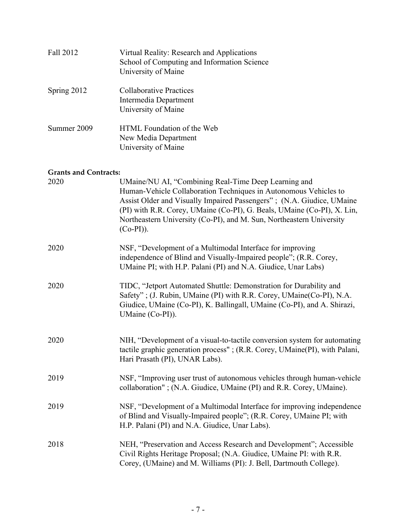| Fall 2012   | Virtual Reality: Research and Applications<br>School of Computing and Information Science<br>University of Maine |
|-------------|------------------------------------------------------------------------------------------------------------------|
| Spring 2012 | Collaborative Practices<br>Intermedia Department<br>University of Maine                                          |
| Summer 2009 | HTML Foundation of the Web<br>New Media Department<br>University of Maine                                        |

## **Grants and Contracts:**

| 2020 | UMaine/NU AI, "Combining Real-Time Deep Learning and<br>Human-Vehicle Collaboration Techniques in Autonomous Vehicles to<br>Assist Older and Visually Impaired Passengers"; (N.A. Giudice, UMaine<br>(PI) with R.R. Corey, UMaine (Co-PI), G. Beals, UMaine (Co-PI), X. Lin,<br>Northeastern University (Co-PI), and M. Sun, Northeastern University<br>$(Co-PI)$ ). |
|------|----------------------------------------------------------------------------------------------------------------------------------------------------------------------------------------------------------------------------------------------------------------------------------------------------------------------------------------------------------------------|
| 2020 | NSF, "Development of a Multimodal Interface for improving<br>independence of Blind and Visually-Impaired people"; (R.R. Corey,<br>UMaine PI; with H.P. Palani (PI) and N.A. Giudice, Unar Labs)                                                                                                                                                                      |
| 2020 | TIDC, "Jetport Automated Shuttle: Demonstration for Durability and<br>Safety"; (J. Rubin, UMaine (PI) with R.R. Corey, UMaine (Co-PI), N.A.<br>Giudice, UMaine (Co-PI), K. Ballingall, UMaine (Co-PI), and A. Shirazi,<br>UMaine (Co-PI)).                                                                                                                           |
| 2020 | NIH, "Development of a visual-to-tactile conversion system for automating<br>tactile graphic generation process"; (R.R. Corey, UMaine(PI), with Palani,<br>Hari Prasath (PI), UNAR Labs).                                                                                                                                                                            |
| 2019 | NSF, "Improving user trust of autonomous vehicles through human-vehicle<br>collaboration"; (N.A. Giudice, UMaine (PI) and R.R. Corey, UMaine).                                                                                                                                                                                                                       |
| 2019 | NSF, "Development of a Multimodal Interface for improving independence<br>of Blind and Visually-Impaired people"; (R.R. Corey, UMaine PI; with<br>H.P. Palani (PI) and N.A. Giudice, Unar Labs).                                                                                                                                                                     |
| 2018 | NEH, "Preservation and Access Research and Development"; Accessible<br>Civil Rights Heritage Proposal; (N.A. Giudice, UMaine PI: with R.R.<br>Corey, (UMaine) and M. Williams (PI): J. Bell, Dartmouth College).                                                                                                                                                     |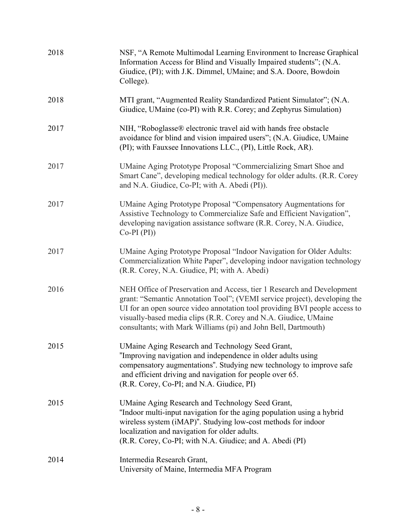| 2018 | NSF, "A Remote Multimodal Learning Environment to Increase Graphical<br>Information Access for Blind and Visually Impaired students"; (N.A.<br>Giudice, (PI); with J.K. Dimmel, UMaine; and S.A. Doore, Bowdoin<br>College).                                                                                                                                           |
|------|------------------------------------------------------------------------------------------------------------------------------------------------------------------------------------------------------------------------------------------------------------------------------------------------------------------------------------------------------------------------|
| 2018 | MTI grant, "Augmented Reality Standardized Patient Simulator"; (N.A.<br>Giudice, UMaine (co-PI) with R.R. Corey; and Zephyrus Simulation)                                                                                                                                                                                                                              |
| 2017 | NIH, "Roboglasse® electronic travel aid with hands free obstacle<br>avoidance for blind and vision impaired users"; (N.A. Giudice, UMaine<br>(PI); with Fauxsee Innovations LLC., (PI), Little Rock, AR).                                                                                                                                                              |
| 2017 | UMaine Aging Prototype Proposal "Commercializing Smart Shoe and<br>Smart Cane", developing medical technology for older adults. (R.R. Corey<br>and N.A. Giudice, Co-PI; with A. Abedi (PI)).                                                                                                                                                                           |
| 2017 | UMaine Aging Prototype Proposal "Compensatory Augmentations for<br>Assistive Technology to Commercialize Safe and Efficient Navigation",<br>developing navigation assistance software (R.R. Corey, N.A. Giudice,<br>$Co-PI(PI)$                                                                                                                                        |
| 2017 | UMaine Aging Prototype Proposal "Indoor Navigation for Older Adults:<br>Commercialization White Paper", developing indoor navigation technology<br>(R.R. Corey, N.A. Giudice, PI; with A. Abedi)                                                                                                                                                                       |
| 2016 | NEH Office of Preservation and Access, tier 1 Research and Development<br>grant: "Semantic Annotation Tool"; (VEMI service project), developing the<br>UI for an open source video annotation tool providing BVI people access to<br>visually-based media clips (R.R. Corey and N.A. Giudice, UMaine<br>consultants; with Mark Williams (pi) and John Bell, Dartmouth) |
| 2015 | UMaine Aging Research and Technology Seed Grant,<br>"Improving navigation and independence in older adults using<br>compensatory augmentations". Studying new technology to improve safe<br>and efficient driving and navigation for people over 65.<br>(R.R. Corey, Co-PI; and N.A. Giudice, PI)                                                                      |
| 2015 | UMaine Aging Research and Technology Seed Grant,<br>"Indoor multi-input navigation for the aging population using a hybrid<br>wireless system (iMAP)". Studying low-cost methods for indoor<br>localization and navigation for older adults.<br>(R.R. Corey, Co-PI; with N.A. Giudice; and A. Abedi (PI)                                                               |
| 2014 | Intermedia Research Grant,<br>University of Maine, Intermedia MFA Program                                                                                                                                                                                                                                                                                              |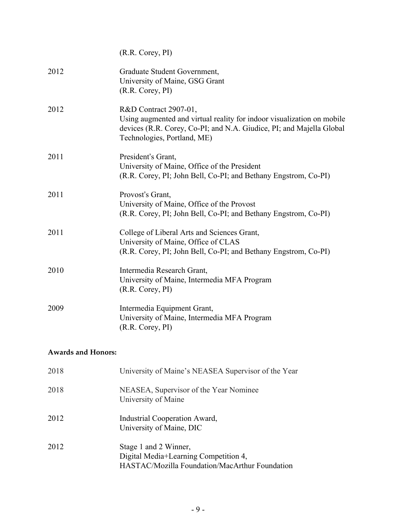|      | $(R.R. \text{Corey}, \text{PI})$                                                                                                                                                                       |
|------|--------------------------------------------------------------------------------------------------------------------------------------------------------------------------------------------------------|
| 2012 | Graduate Student Government,<br>University of Maine, GSG Grant<br>(R.R. Corey, PI)                                                                                                                     |
| 2012 | R&D Contract 2907-01,<br>Using augmented and virtual reality for indoor visualization on mobile<br>devices (R.R. Corey, Co-PI; and N.A. Giudice, PI; and Majella Global<br>Technologies, Portland, ME) |
| 2011 | President's Grant,<br>University of Maine, Office of the President<br>(R.R. Corey, PI; John Bell, Co-PI; and Bethany Engstrom, Co-PI)                                                                  |
| 2011 | Provost's Grant,<br>University of Maine, Office of the Provost<br>(R.R. Corey, PI; John Bell, Co-PI; and Bethany Engstrom, Co-PI)                                                                      |
| 2011 | College of Liberal Arts and Sciences Grant,<br>University of Maine, Office of CLAS<br>(R.R. Corey, PI; John Bell, Co-PI; and Bethany Engstrom, Co-PI)                                                  |
| 2010 | Intermedia Research Grant,<br>University of Maine, Intermedia MFA Program<br>$(R.R. \text{Corey}, \text{PI})$                                                                                          |
| 2009 | Intermedia Equipment Grant,<br>University of Maine, Intermedia MFA Program<br>(R.R. Corey, PI)                                                                                                         |

## **Awards and Honors:**

| 2018 | University of Maine's NEASEA Supervisor of the Year                                                              |
|------|------------------------------------------------------------------------------------------------------------------|
| 2018 | NEASEA, Supervisor of the Year Nominee<br>University of Maine                                                    |
| 2012 | Industrial Cooperation Award,<br>University of Maine, DIC                                                        |
| 2012 | Stage 1 and 2 Winner,<br>Digital Media+Learning Competition 4,<br>HASTAC/Mozilla Foundation/MacArthur Foundation |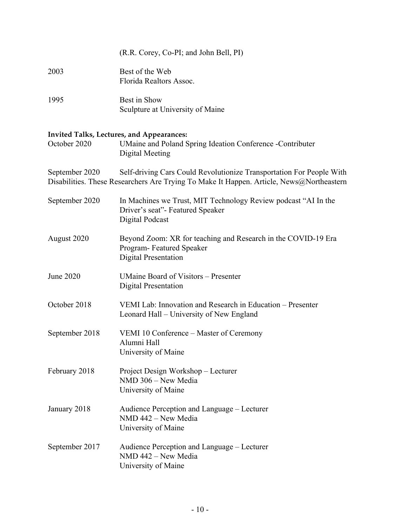|                  | (R.R. Corey, Co-PI; and John Bell, PI)                                                                                                                           |
|------------------|------------------------------------------------------------------------------------------------------------------------------------------------------------------|
| 2003             | Best of the Web<br>Florida Realtors Assoc.                                                                                                                       |
| 1995             | Best in Show<br>Sculpture at University of Maine                                                                                                                 |
| October 2020     | Invited Talks, Lectures, and Appearances:<br>UMaine and Poland Spring Ideation Conference -Contributer<br>Digital Meeting                                        |
| September 2020   | Self-driving Cars Could Revolutionize Transportation For People With<br>Disabilities. These Researchers Are Trying To Make It Happen. Article, News@Northeastern |
| September 2020   | In Machines we Trust, MIT Technology Review podcast "AI In the<br>Driver's seat"- Featured Speaker<br><b>Digital Podcast</b>                                     |
| August 2020      | Beyond Zoom: XR for teaching and Research in the COVID-19 Era<br>Program-Featured Speaker<br><b>Digital Presentation</b>                                         |
| <b>June 2020</b> | <b>UMaine Board of Visitors – Presenter</b><br><b>Digital Presentation</b>                                                                                       |
| October 2018     | VEMI Lab: Innovation and Research in Education - Presenter<br>Leonard Hall – University of New England                                                           |
| September 2018   | VEMI 10 Conference – Master of Ceremony<br>Alumni Hall<br>University of Maine                                                                                    |
| February 2018    | Project Design Workshop – Lecturer<br>NMD 306 - New Media<br>University of Maine                                                                                 |
| January 2018     | Audience Perception and Language – Lecturer<br>NMD 442 - New Media<br>University of Maine                                                                        |
| September 2017   | Audience Perception and Language – Lecturer<br>NMD 442 - New Media<br>University of Maine                                                                        |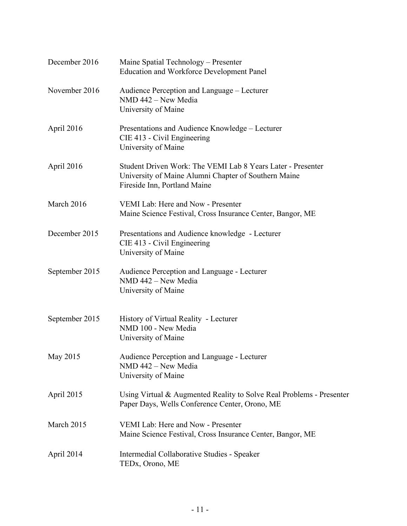| December 2016  | Maine Spatial Technology – Presenter<br><b>Education and Workforce Development Panel</b>                                                            |
|----------------|-----------------------------------------------------------------------------------------------------------------------------------------------------|
| November 2016  | Audience Perception and Language – Lecturer<br>NMD 442 - New Media<br>University of Maine                                                           |
| April 2016     | Presentations and Audience Knowledge – Lecturer<br>CIE 413 - Civil Engineering<br>University of Maine                                               |
| April 2016     | Student Driven Work: The VEMI Lab 8 Years Later - Presenter<br>University of Maine Alumni Chapter of Southern Maine<br>Fireside Inn, Portland Maine |
| March 2016     | VEMI Lab: Here and Now - Presenter<br>Maine Science Festival, Cross Insurance Center, Bangor, ME                                                    |
| December 2015  | Presentations and Audience knowledge - Lecturer<br>CIE 413 - Civil Engineering<br>University of Maine                                               |
| September 2015 | Audience Perception and Language - Lecturer<br>NMD 442 - New Media<br>University of Maine                                                           |
| September 2015 | History of Virtual Reality - Lecturer<br>NMD 100 - New Media<br>University of Maine                                                                 |
| May 2015       | Audience Perception and Language - Lecturer<br>NMD 442 - New Media<br>University of Maine                                                           |
| April 2015     | Using Virtual & Augmented Reality to Solve Real Problems - Presenter<br>Paper Days, Wells Conference Center, Orono, ME                              |
| March 2015     | VEMI Lab: Here and Now - Presenter<br>Maine Science Festival, Cross Insurance Center, Bangor, ME                                                    |
| April 2014     | Intermedial Collaborative Studies - Speaker<br>TED <sub>x</sub> , Orono, ME                                                                         |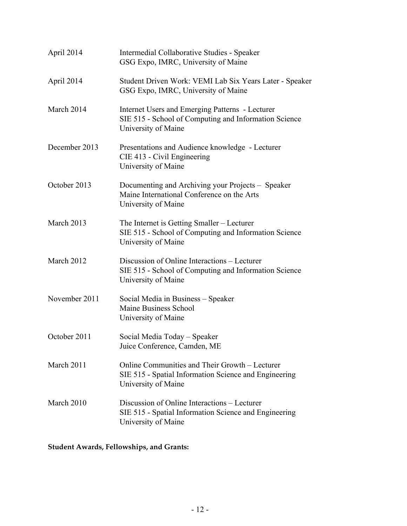| April 2014    | Intermedial Collaborative Studies - Speaker<br>GSG Expo, IMRC, University of Maine                                              |
|---------------|---------------------------------------------------------------------------------------------------------------------------------|
| April 2014    | Student Driven Work: VEMI Lab Six Years Later - Speaker<br>GSG Expo, IMRC, University of Maine                                  |
| March 2014    | Internet Users and Emerging Patterns - Lecturer<br>SIE 515 - School of Computing and Information Science<br>University of Maine |
| December 2013 | Presentations and Audience knowledge - Lecturer<br>CIE 413 - Civil Engineering<br>University of Maine                           |
| October 2013  | Documenting and Archiving your Projects – Speaker<br>Maine International Conference on the Arts<br>University of Maine          |
| March 2013    | The Internet is Getting Smaller – Lecturer<br>SIE 515 - School of Computing and Information Science<br>University of Maine      |
| March 2012    | Discussion of Online Interactions – Lecturer<br>SIE 515 - School of Computing and Information Science<br>University of Maine    |
| November 2011 | Social Media in Business - Speaker<br>Maine Business School<br>University of Maine                                              |
| October 2011  | Social Media Today - Speaker<br>Juice Conference, Camden, ME                                                                    |
| March 2011    | Online Communities and Their Growth – Lecturer<br>SIE 515 - Spatial Information Science and Engineering<br>University of Maine  |
| March 2010    | Discussion of Online Interactions – Lecturer<br>SIE 515 - Spatial Information Science and Engineering<br>University of Maine    |

**Student Awards, Fellowships, and Grants:**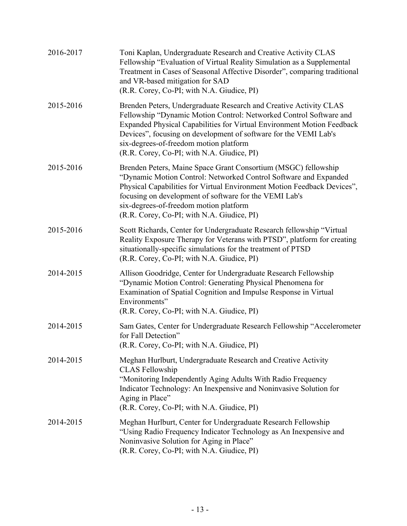| 2016-2017 | Toni Kaplan, Undergraduate Research and Creative Activity CLAS<br>Fellowship "Evaluation of Virtual Reality Simulation as a Supplemental<br>Treatment in Cases of Seasonal Affective Disorder", comparing traditional<br>and VR-based mitigation for SAD<br>(R.R. Corey, Co-PI; with N.A. Giudice, PI)                                                                        |
|-----------|-------------------------------------------------------------------------------------------------------------------------------------------------------------------------------------------------------------------------------------------------------------------------------------------------------------------------------------------------------------------------------|
| 2015-2016 | Brenden Peters, Undergraduate Research and Creative Activity CLAS<br>Fellowship "Dynamic Motion Control: Networked Control Software and<br>Expanded Physical Capabilities for Virtual Environment Motion Feedback<br>Devices", focusing on development of software for the VEMI Lab's<br>six-degrees-of-freedom motion platform<br>(R.R. Corey, Co-PI; with N.A. Giudice, PI) |
| 2015-2016 | Brenden Peters, Maine Space Grant Consortium (MSGC) fellowship<br>"Dynamic Motion Control: Networked Control Software and Expanded<br>Physical Capabilities for Virtual Environment Motion Feedback Devices",<br>focusing on development of software for the VEMI Lab's<br>six-degrees-of-freedom motion platform<br>(R.R. Corey, Co-PI; with N.A. Giudice, PI)               |
| 2015-2016 | Scott Richards, Center for Undergraduate Research fellowship "Virtual<br>Reality Exposure Therapy for Veterans with PTSD", platform for creating<br>situationally-specific simulations for the treatment of PTSD<br>(R.R. Corey, Co-PI; with N.A. Giudice, PI)                                                                                                                |
| 2014-2015 | Allison Goodridge, Center for Undergraduate Research Fellowship<br>"Dynamic Motion Control: Generating Physical Phenomena for<br>Examination of Spatial Cognition and Impulse Response in Virtual<br>Environments"<br>(R.R. Corey, Co-PI; with N.A. Giudice, PI)                                                                                                              |
| 2014-2015 | Sam Gates, Center for Undergraduate Research Fellowship "Accelerometer<br>for Fall Detection"<br>(R.R. Corey, Co-PI; with N.A. Giudice, PI)                                                                                                                                                                                                                                   |
| 2014-2015 | Meghan Hurlburt, Undergraduate Research and Creative Activity<br><b>CLAS</b> Fellowship<br>"Monitoring Independently Aging Adults With Radio Frequency<br>Indicator Technology: An Inexpensive and Noninvasive Solution for<br>Aging in Place"<br>(R.R. Corey, Co-PI; with N.A. Giudice, PI)                                                                                  |
| 2014-2015 | Meghan Hurlburt, Center for Undergraduate Research Fellowship<br>"Using Radio Frequency Indicator Technology as An Inexpensive and<br>Noninvasive Solution for Aging in Place"<br>(R.R. Corey, Co-PI; with N.A. Giudice, PI)                                                                                                                                                  |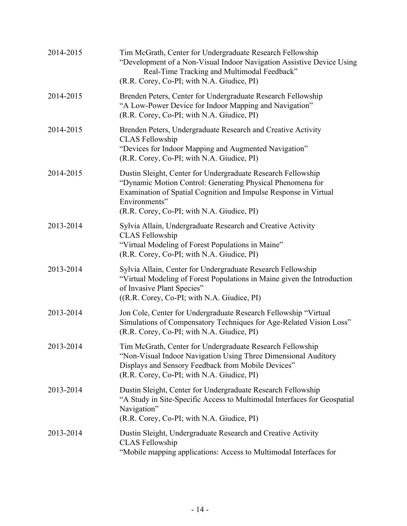| 2014-2015 | Tim McGrath, Center for Undergraduate Research Fellowship<br>"Development of a Non-Visual Indoor Navigation Assistive Device Using<br>Real-Time Tracking and Multimodal Feedback"<br>(R.R. Corey, Co-PI; with N.A. Giudice, PI)                               |
|-----------|---------------------------------------------------------------------------------------------------------------------------------------------------------------------------------------------------------------------------------------------------------------|
| 2014-2015 | Brenden Peters, Center for Undergraduate Research Fellowship<br>"A Low-Power Device for Indoor Mapping and Navigation"<br>(R.R. Corey, Co-PI; with N.A. Giudice, PI)                                                                                          |
| 2014-2015 | Brenden Peters, Undergraduate Research and Creative Activity<br><b>CLAS</b> Fellowship<br>"Devices for Indoor Mapping and Augmented Navigation"<br>(R.R. Corey, Co-PI; with N.A. Giudice, PI)                                                                 |
| 2014-2015 | Dustin Sleight, Center for Undergraduate Research Fellowship<br>"Dynamic Motion Control: Generating Physical Phenomena for<br>Examination of Spatial Cognition and Impulse Response in Virtual<br>Environments"<br>(R.R. Corey, Co-PI; with N.A. Giudice, PI) |
| 2013-2014 | Sylvia Allain, Undergraduate Research and Creative Activity<br><b>CLAS</b> Fellowship<br>"Virtual Modeling of Forest Populations in Maine"<br>(R.R. Corey, Co-PI; with N.A. Giudice, PI)                                                                      |
| 2013-2014 | Sylvia Allain, Center for Undergraduate Research Fellowship<br>"Virtual Modeling of Forest Populations in Maine given the Introduction<br>of Invasive Plant Species"<br>$((R.R. \text{Corey}, \text{Co-PI}; \text{with } N.A. \text{ Guide}, \text{PI})$      |
| 2013-2014 | Jon Cole, Center for Undergraduate Research Fellowship "Virtual<br>Simulations of Compensatory Techniques for Age-Related Vision Loss"<br>(R.R. Corey, Co-PI; with N.A. Giudice, PI)                                                                          |
| 2013-2014 | Tim McGrath, Center for Undergraduate Research Fellowship<br>"Non-Visual Indoor Navigation Using Three Dimensional Auditory<br>Displays and Sensory Feedback from Mobile Devices"<br>(R.R. Corey, Co-PI; with N.A. Giudice, PI)                               |
| 2013-2014 | Dustin Sleight, Center for Undergraduate Research Fellowship<br>"A Study in Site-Specific Access to Multimodal Interfaces for Geospatial<br>Navigation"<br>(R.R. Corey, Co-PI; with N.A. Giudice, PI)                                                         |
| 2013-2014 | Dustin Sleight, Undergraduate Research and Creative Activity<br><b>CLAS</b> Fellowship<br>"Mobile mapping applications: Access to Multimodal Interfaces for                                                                                                   |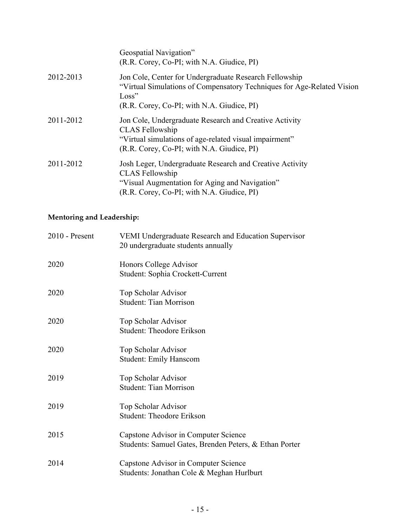|           | Geospatial Navigation"<br>(R.R. Corey, Co-PI; with N.A. Giudice, PI)                                                                                                                     |
|-----------|------------------------------------------------------------------------------------------------------------------------------------------------------------------------------------------|
| 2012-2013 | Jon Cole, Center for Undergraduate Research Fellowship<br>"Virtual Simulations of Compensatory Techniques for Age-Related Vision<br>Loss"<br>(R.R. Corey, Co-PI; with N.A. Giudice, PI)  |
| 2011-2012 | Jon Cole, Undergraduate Research and Creative Activity<br><b>CLAS</b> Fellowship<br>"Virtual simulations of age-related visual impairment"<br>(R.R. Corey, Co-PI; with N.A. Giudice, PI) |
| 2011-2012 | Josh Leger, Undergraduate Research and Creative Activity<br><b>CLAS</b> Fellowship<br>"Visual Augmentation for Aging and Navigation"<br>(R.R. Corey, Co-PI; with N.A. Giudice, PI)       |

# **Mentoring and Leadership:**

| 2010 - Present | <b>VEMI Undergraduate Research and Education Supervisor</b><br>20 undergraduate students annually |
|----------------|---------------------------------------------------------------------------------------------------|
| 2020           | Honors College Advisor<br>Student: Sophia Crockett-Current                                        |
| 2020           | Top Scholar Advisor<br><b>Student: Tian Morrison</b>                                              |
| 2020           | Top Scholar Advisor<br><b>Student: Theodore Erikson</b>                                           |
| 2020           | Top Scholar Advisor<br><b>Student: Emily Hanscom</b>                                              |
| 2019           | Top Scholar Advisor<br><b>Student: Tian Morrison</b>                                              |
| 2019           | Top Scholar Advisor<br><b>Student: Theodore Erikson</b>                                           |
| 2015           | Capstone Advisor in Computer Science<br>Students: Samuel Gates, Brenden Peters, & Ethan Porter    |
| 2014           | Capstone Advisor in Computer Science<br>Students: Jonathan Cole & Meghan Hurlburt                 |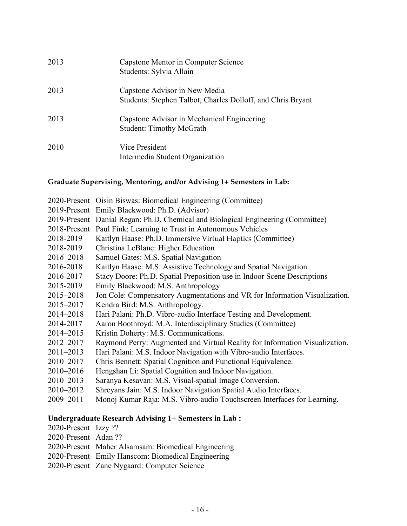| 2013 | Capstone Mentor in Computer Science<br>Students: Sylvia Allain                               |
|------|----------------------------------------------------------------------------------------------|
| 2013 | Capstone Advisor in New Media<br>Students: Stephen Talbot, Charles Dolloff, and Chris Bryant |
| 2013 | Capstone Advisor in Mechanical Engineering<br><b>Student: Timothy McGrath</b>                |
| 2010 | Vice President<br>Intermedia Student Organization                                            |

### **Graduate Supervising, Mentoring, and/or Advising 1+ Semesters in Lab:**

|               | 2020-Present Oisin Biswas: Biomedical Engineering (Committee)                    |
|---------------|----------------------------------------------------------------------------------|
|               | 2019-Present Emily Blackwood: Ph.D. (Advisor)                                    |
|               | 2019-Present Danial Regan: Ph.D. Chemical and Biological Engineering (Committee) |
|               | 2018-Present Paul Fink: Learning to Trust in Autonomous Vehicles                 |
| 2018-2019     | Kaitlyn Haase: Ph.D. Immersive Virtual Haptics (Committee)                       |
| 2018-2019     | Christina LeBlanc: Higher Education                                              |
| 2016-2018     | Samuel Gates: M.S. Spatial Navigation                                            |
| 2016-2018     | Kaitlyn Haase: M.S. Assistive Technology and Spatial Navigation                  |
| 2016-2017     | Stacy Doore: Ph.D. Spatial Preposition use in Indoor Scene Descriptions          |
| 2015-2019     | Emily Blackwood: M.S. Anthropology                                               |
| 2015-2018     | Jon Cole: Compensatory Augmentations and VR for Information Visualization.       |
| 2015-2017     | Kendra Bird: M.S. Anthropology.                                                  |
| 2014-2018     | Hari Palani: Ph.D. Vibro-audio Interface Testing and Development.                |
| 2014-2017     | Aaron Boothroyd: M.A. Interdisciplinary Studies (Committee)                      |
| 2014-2015     | Kristin Doherty: M.S. Communications.                                            |
| 2012-2017     | Raymond Perry: Augmented and Virtual Reality for Information Visualization.      |
| $2011 - 2013$ | Hari Palani: M.S. Indoor Navigation with Vibro-audio Interfaces.                 |
| 2010-2017     | Chris Bennett: Spatial Cognition and Functional Equivalence.                     |
| 2010-2016     | Hengshan Li: Spatial Cognition and Indoor Navigation.                            |
| 2010-2013     | Saranya Kesavan: M.S. Visual-spatial Image Conversion.                           |
| 2010-2012     | Shreyans Jain: M.S. Indoor Navigation Spatial Audio Interfaces.                  |

2009–2011 Monoj Kumar Raja: M.S. Vibro-audio Touchscreen Interfaces for Learning.

## **Undergraduate Research Advising 1+ Semesters in Lab :**

- 2020-Present Izzy ??
- 2020-Present Adan ??
- 2020-Present Maher Alsamsam: Biomedical Engineering
- 2020-Present Emily Hanscom: Biomedical Engineering
- 2020-Present Zane Nygaard: Computer Science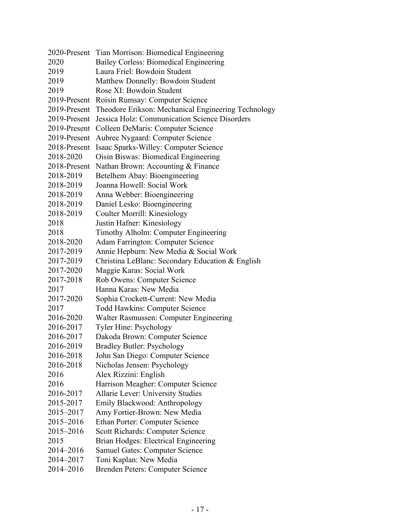|              | 2020-Present Tian Morrison: Biomedical Engineering  |
|--------------|-----------------------------------------------------|
| 2020         | Bailey Corless: Biomedical Engineering              |
| 2019         | Laura Friel: Bowdoin Student                        |
| 2019         | Matthew Donnelly: Bowdoin Student                   |
| 2019         | Rose XI: Bowdoin Student                            |
| 2019-Present | Roisin Rumsay: Computer Science                     |
| 2019-Present | Theodore Erikson: Mechanical Engineering Technology |
| 2019-Present | Jessica Holz: Communication Science Disorders       |
| 2019-Present | Colleen DeMaris: Computer Science                   |
| 2019-Present | Aubree Nygaard: Computer Science                    |
| 2018-Present | Isaac Sparks-Willey: Computer Science               |
| 2018-2020    | Oisin Biswas: Biomedical Engineering                |
| 2018-Present | Nathan Brown: Accounting & Finance                  |
| 2018-2019    | Betelhem Abay: Bioengineering                       |
| 2018-2019    | Joanna Howell: Social Work                          |
| 2018-2019    | Anna Webber: Bioengineering                         |
| 2018-2019    | Daniel Lesko: Bioengineering                        |
| 2018-2019    | Coulter Morrill: Kinesiology                        |
| 2018         | Justin Hafner: Kinesiology                          |
| 2018         | Timothy Alholm: Computer Engineering                |
| 2018-2020    | Adam Farrington: Computer Science                   |
| 2017-2019    | Annie Hepburn: New Media & Social Work              |
| 2017-2019    | Christina LeBlanc: Secondary Education & English    |
| 2017-2020    | Maggie Karas: Social Work                           |
| 2017-2018    | Rob Owens: Computer Science                         |
| 2017         | Hanna Karas: New Media                              |
| 2017-2020    | Sophia Crockett-Current: New Media                  |
| 2017         | <b>Todd Hawkins: Computer Science</b>               |
| 2016-2020    | Walter Rasmussen: Computer Engineering              |
| 2016-2017    | Tyler Hine: Psychology                              |
| 2016-2017    | Dakoda Brown: Computer Science                      |
| 2016-2019    | <b>Bradley Butler: Psychology</b>                   |
| 2016-2018    | John San Diego: Computer Science                    |
| 2016-2018    | Nicholas Jensen: Psychology                         |
| 2016         | Alex Rizzini: English                               |
| 2016         | Harrison Meagher: Computer Science                  |
| 2016-2017    | Allarie Lever: University Studies                   |
| 2015-2017    | Emily Blackwood: Anthropology                       |
| 2015-2017    | Amy Fortier-Brown: New Media                        |
| 2015-2016    | <b>Ethan Porter: Computer Science</b>               |
| 2015-2016    | <b>Scott Richards: Computer Science</b>             |
| 2015         | Brian Hodges: Electrical Engineering                |
| 2014-2016    | <b>Samuel Gates: Computer Science</b>               |
| 2014-2017    | Toni Kaplan: New Media                              |
| 2014-2016    | Brenden Peters: Computer Science                    |
|              |                                                     |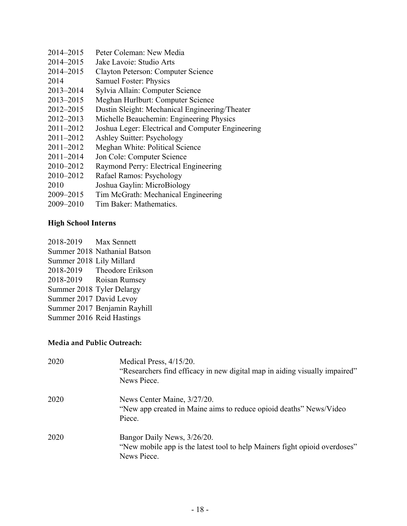- 2014–2015 Peter Coleman: New Media
- 2014–2015 Jake Lavoie: Studio Arts
- 2014–2015 Clayton Peterson: Computer Science
- 2014 Samuel Foster: Physics
- 2013–2014 Sylvia Allain: Computer Science
- 2013–2015 Meghan Hurlburt: Computer Science
- 2012–2015 Dustin Sleight: Mechanical Engineering/Theater
- 2012–2013 Michelle Beauchemin: Engineering Physics
- 2011–2012 Joshua Leger: Electrical and Computer Engineering
- 2011–2012 Ashley Suitter: Psychology
- 2011–2012 Meghan White: Political Science
- 2011–2014 Jon Cole: Computer Science
- 2010–2012 Raymond Perry: Electrical Engineering
- 2010–2012 Rafael Ramos: Psychology
- 2010 Joshua Gaylin: MicroBiology
- 2009–2015 Tim McGrath: Mechanical Engineering
- 2009–2010 Tim Baker: Mathematics.

# **High School Interns**

2018-2019 Max Sennett Summer 2018 Nathanial Batson Summer 2018 Lily Millard 2018-2019 Theodore Erikson 2018-2019 Roisan Rumsey Summer 2018 Tyler Delargy Summer 2017 David Levoy Summer 2017 Benjamin Rayhill Summer 2016 Reid Hastings

# **Media and Public Outreach:**

| 2020 | Medical Press, 4/15/20.<br>"Researchers find efficacy in new digital map in aiding visually impaired"<br>News Piece.        |
|------|-----------------------------------------------------------------------------------------------------------------------------|
| 2020 | News Center Maine, $3/27/20$ .<br>"New app created in Maine aims to reduce opioid deaths" News/Video<br>Piece.              |
| 2020 | Bangor Daily News, $3/26/20$ .<br>"New mobile app is the latest tool to help Mainers fight opioid overdoses"<br>News Piece. |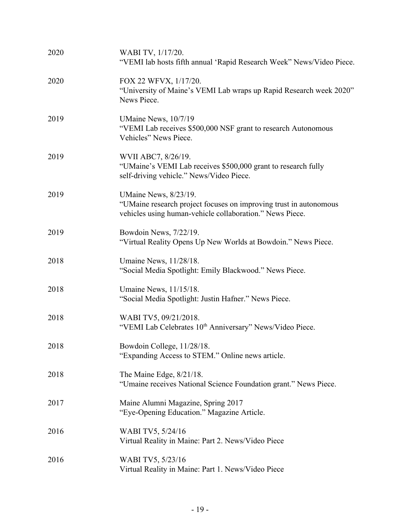| 2020 | WABI TV, 1/17/20.<br>"VEMI lab hosts fifth annual 'Rapid Research Week" News/Video Piece.                                                              |
|------|--------------------------------------------------------------------------------------------------------------------------------------------------------|
| 2020 | FOX 22 WFVX, 1/17/20.<br>"University of Maine's VEMI Lab wraps up Rapid Research week 2020"<br>News Piece.                                             |
| 2019 | UMaine News, 10/7/19<br>"VEMI Lab receives \$500,000 NSF grant to research Autonomous<br>Vehicles" News Piece.                                         |
| 2019 | WVII ABC7, 8/26/19.<br>"UMaine's VEMI Lab receives \$500,000 grant to research fully<br>self-driving vehicle." News/Video Piece.                       |
| 2019 | UMaine News, 8/23/19.<br>"UMaine research project focuses on improving trust in autonomous<br>vehicles using human-vehicle collaboration." News Piece. |
| 2019 | Bowdoin News, 7/22/19.<br>"Virtual Reality Opens Up New Worlds at Bowdoin." News Piece.                                                                |
| 2018 | Umaine News, 11/28/18.<br>"Social Media Spotlight: Emily Blackwood." News Piece.                                                                       |
| 2018 | Umaine News, 11/15/18.<br>"Social Media Spotlight: Justin Hafner." News Piece.                                                                         |
| 2018 | WABI TV5, 09/21/2018.<br>"VEMI Lab Celebrates 10 <sup>th</sup> Anniversary" News/Video Piece.                                                          |
| 2018 | Bowdoin College, 11/28/18.<br>"Expanding Access to STEM." Online news article.                                                                         |
| 2018 | The Maine Edge, $8/21/18$ .<br>"Umaine receives National Science Foundation grant." News Piece.                                                        |
| 2017 | Maine Alumni Magazine, Spring 2017<br>"Eye-Opening Education." Magazine Article.                                                                       |
| 2016 | WABI TV5, 5/24/16<br>Virtual Reality in Maine: Part 2. News/Video Piece                                                                                |
| 2016 | WABI TV5, 5/23/16<br>Virtual Reality in Maine: Part 1. News/Video Piece                                                                                |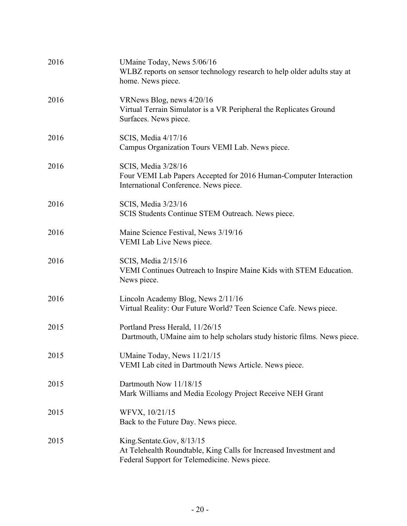| 2016 | UMaine Today, News 5/06/16<br>WLBZ reports on sensor technology research to help older adults stay at<br>home. News piece.                      |
|------|-------------------------------------------------------------------------------------------------------------------------------------------------|
| 2016 | VRNews Blog, news 4/20/16<br>Virtual Terrain Simulator is a VR Peripheral the Replicates Ground<br>Surfaces. News piece.                        |
| 2016 | SCIS, Media 4/17/16<br>Campus Organization Tours VEMI Lab. News piece.                                                                          |
| 2016 | SCIS, Media 3/28/16<br>Four VEMI Lab Papers Accepted for 2016 Human-Computer Interaction<br>International Conference. News piece.               |
| 2016 | SCIS, Media 3/23/16<br>SCIS Students Continue STEM Outreach. News piece.                                                                        |
| 2016 | Maine Science Festival, News 3/19/16<br>VEMI Lab Live News piece.                                                                               |
| 2016 | SCIS, Media 2/15/16<br>VEMI Continues Outreach to Inspire Maine Kids with STEM Education.<br>News piece.                                        |
| 2016 | Lincoln Academy Blog, News 2/11/16<br>Virtual Reality: Our Future World? Teen Science Cafe. News piece.                                         |
| 2015 | Portland Press Herald, 11/26/15<br>Dartmouth, UMaine aim to help scholars study historic films. News piece.                                     |
| 2015 | UMaine Today, News 11/21/15<br>VEMI Lab cited in Dartmouth News Article. News piece.                                                            |
| 2015 | Dartmouth Now 11/18/15<br>Mark Williams and Media Ecology Project Receive NEH Grant                                                             |
| 2015 | WFVX, 10/21/15<br>Back to the Future Day. News piece.                                                                                           |
| 2015 | King.Sentate.Gov, 8/13/15<br>At Telehealth Roundtable, King Calls for Increased Investment and<br>Federal Support for Telemedicine. News piece. |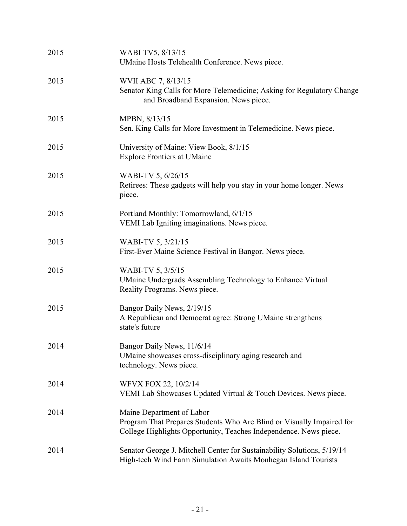| 2015 | WABI TV5, 8/13/15<br>UMaine Hosts Telehealth Conference. News piece.                                                                                                    |
|------|-------------------------------------------------------------------------------------------------------------------------------------------------------------------------|
| 2015 | WVII ABC 7, 8/13/15<br>Senator King Calls for More Telemedicine; Asking for Regulatory Change<br>and Broadband Expansion. News piece.                                   |
| 2015 | MPBN, 8/13/15<br>Sen. King Calls for More Investment in Telemedicine. News piece.                                                                                       |
| 2015 | University of Maine: View Book, 8/1/15<br><b>Explore Frontiers at UMaine</b>                                                                                            |
| 2015 | WABI-TV 5, 6/26/15<br>Retirees: These gadgets will help you stay in your home longer. News<br>piece.                                                                    |
| 2015 | Portland Monthly: Tomorrowland, 6/1/15<br>VEMI Lab Igniting imaginations. News piece.                                                                                   |
| 2015 | WABI-TV 5, 3/21/15<br>First-Ever Maine Science Festival in Bangor. News piece.                                                                                          |
| 2015 | WABI-TV 5, 3/5/15<br>UMaine Undergrads Assembling Technology to Enhance Virtual<br>Reality Programs. News piece.                                                        |
| 2015 | Bangor Daily News, 2/19/15<br>A Republican and Democrat agree: Strong UMaine strengthens<br>state's future                                                              |
| 2014 | Bangor Daily News, 11/6/14<br>UMaine showcases cross-disciplinary aging research and<br>technology. News piece.                                                         |
| 2014 | WFVX FOX 22, 10/2/14<br>VEMI Lab Showcases Updated Virtual & Touch Devices. News piece.                                                                                 |
| 2014 | Maine Department of Labor<br>Program That Prepares Students Who Are Blind or Visually Impaired for<br>College Highlights Opportunity, Teaches Independence. News piece. |
| 2014 | Senator George J. Mitchell Center for Sustainability Solutions, 5/19/14<br>High-tech Wind Farm Simulation Awaits Monhegan Island Tourists                               |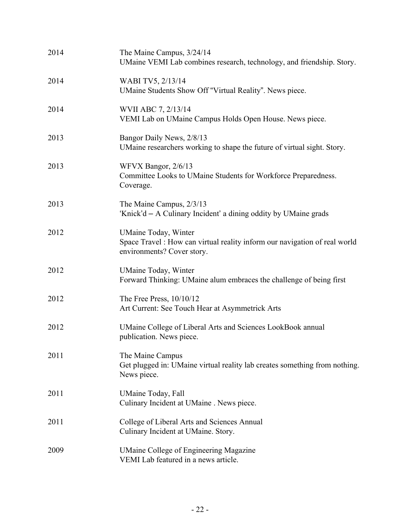| 2014 | The Maine Campus, 3/24/14<br>UMaine VEMI Lab combines research, technology, and friendship. Story.                                      |
|------|-----------------------------------------------------------------------------------------------------------------------------------------|
| 2014 | WABI TV5, 2/13/14<br>UMaine Students Show Off "Virtual Reality". News piece.                                                            |
| 2014 | WVII ABC 7, 2/13/14<br>VEMI Lab on UMaine Campus Holds Open House. News piece.                                                          |
| 2013 | Bangor Daily News, 2/8/13<br>UMaine researchers working to shape the future of virtual sight. Story.                                    |
| 2013 | WFVX Bangor, 2/6/13<br>Committee Looks to UMaine Students for Workforce Preparedness.<br>Coverage.                                      |
| 2013 | The Maine Campus, 2/3/13<br>'Knick'd – A Culinary Incident' a dining oddity by UMaine grads                                             |
| 2012 | <b>UMaine Today</b> , Winter<br>Space Travel: How can virtual reality inform our navigation of real world<br>environments? Cover story. |
| 2012 | UMaine Today, Winter<br>Forward Thinking: UMaine alum embraces the challenge of being first                                             |
| 2012 | The Free Press, $10/10/12$<br>Art Current: See Touch Hear at Asymmetrick Arts                                                           |
| 2012 | UMaine College of Liberal Arts and Sciences LookBook annual<br>publication. News piece.                                                 |
| 2011 | The Maine Campus<br>Get plugged in: UMaine virtual reality lab creates something from nothing.<br>News piece.                           |
| 2011 | <b>UMaine Today</b> , Fall<br>Culinary Incident at UMaine . News piece.                                                                 |
| 2011 | College of Liberal Arts and Sciences Annual<br>Culinary Incident at UMaine. Story.                                                      |
| 2009 | <b>UMaine College of Engineering Magazine</b><br>VEMI Lab featured in a news article.                                                   |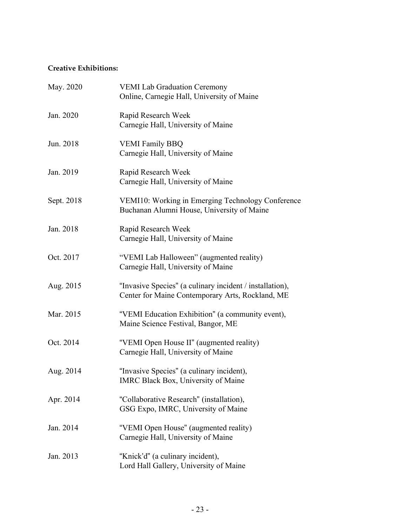## **Creative Exhibitions:**

| May. 2020  | <b>VEMI Lab Graduation Ceremony</b><br>Online, Carnegie Hall, University of Maine                            |
|------------|--------------------------------------------------------------------------------------------------------------|
| Jan. 2020  | Rapid Research Week<br>Carnegie Hall, University of Maine                                                    |
| Jun. 2018  | <b>VEMI Family BBQ</b><br>Carnegie Hall, University of Maine                                                 |
| Jan. 2019  | Rapid Research Week<br>Carnegie Hall, University of Maine                                                    |
| Sept. 2018 | VEMI10: Working in Emerging Technology Conference<br>Buchanan Alumni House, University of Maine              |
| Jan. 2018  | Rapid Research Week<br>Carnegie Hall, University of Maine                                                    |
| Oct. 2017  | "VEMI Lab Halloween" (augmented reality)<br>Carnegie Hall, University of Maine                               |
| Aug. 2015  | "Invasive Species" (a culinary incident / installation),<br>Center for Maine Contemporary Arts, Rockland, ME |
| Mar. 2015  | "VEMI Education Exhibition" (a community event),<br>Maine Science Festival, Bangor, ME                       |
| Oct. 2014  | "VEMI Open House II" (augmented reality)<br>Carnegie Hall, University of Maine                               |
| Aug. 2014  | "Invasive Species" (a culinary incident),<br>IMRC Black Box, University of Maine                             |
| Apr. 2014  | "Collaborative Research" (installation),<br>GSG Expo, IMRC, University of Maine                              |
| Jan. 2014  | "VEMI Open House" (augmented reality)<br>Carnegie Hall, University of Maine                                  |
| Jan. 2013  | "Knick'd" (a culinary incident),<br>Lord Hall Gallery, University of Maine                                   |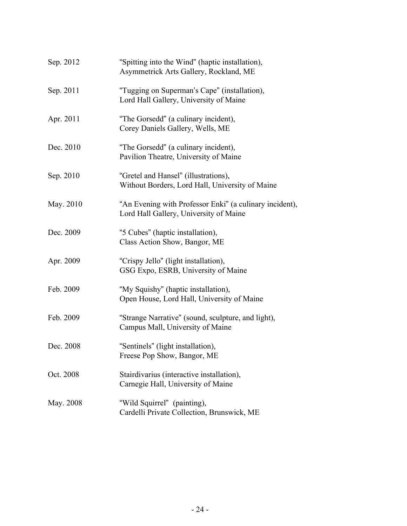| Sep. 2012 | "Spitting into the Wind" (haptic installation),<br>Asymmetrick Arts Gallery, Rockland, ME         |
|-----------|---------------------------------------------------------------------------------------------------|
| Sep. 2011 | "Tugging on Superman's Cape" (installation),<br>Lord Hall Gallery, University of Maine            |
| Apr. 2011 | "The Gorsedd" (a culinary incident),<br>Corey Daniels Gallery, Wells, ME                          |
| Dec. 2010 | "The Gorsedd" (a culinary incident),<br>Pavilion Theatre, University of Maine                     |
| Sep. 2010 | "Gretel and Hansel" (illustrations),<br>Without Borders, Lord Hall, University of Maine           |
| May. 2010 | "An Evening with Professor Enki" (a culinary incident),<br>Lord Hall Gallery, University of Maine |
| Dec. 2009 | "5 Cubes" (haptic installation),<br>Class Action Show, Bangor, ME                                 |
| Apr. 2009 | "Crispy Jello" (light installation),<br>GSG Expo, ESRB, University of Maine                       |
| Feb. 2009 | "My Squishy" (haptic installation),<br>Open House, Lord Hall, University of Maine                 |
| Feb. 2009 | "Strange Narrative" (sound, sculpture, and light),<br>Campus Mall, University of Maine            |
| Dec. 2008 | "Sentinels" (light installation),<br>Freese Pop Show, Bangor, ME                                  |
| Oct. 2008 | Stairdivarius (interactive installation),<br>Carnegie Hall, University of Maine                   |
| May. 2008 | "Wild Squirrel" (painting),<br>Cardelli Private Collection, Brunswick, ME                         |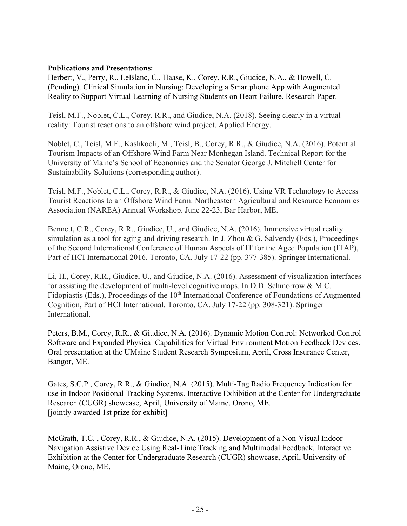#### **Publications and Presentations:**

Herbert, V., Perry, R., LeBlanc, C., Haase, K., Corey, R.R., Giudice, N.A., & Howell, C. (Pending). Clinical Simulation in Nursing: Developing a Smartphone App with Augmented Reality to Support Virtual Learning of Nursing Students on Heart Failure. Research Paper.

Teisl, M.F., Noblet, C.L., Corey, R.R., and Giudice, N.A. (2018). Seeing clearly in a virtual reality: Tourist reactions to an offshore wind project. Applied Energy.

Noblet, C., Teisl, M.F., Kashkooli, M., Teisl, B., Corey, R.R., & Giudice, N.A. (2016). Potential Tourism Impacts of an Offshore Wind Farm Near Monhegan Island. Technical Report for the University of Maine's School of Economics and the Senator George J. Mitchell Center for Sustainability Solutions (corresponding author).

Teisl, M.F., Noblet, C.L., Corey, R.R., & Giudice, N.A. (2016). Using VR Technology to Access Tourist Reactions to an Offshore Wind Farm. Northeastern Agricultural and Resource Economics Association (NAREA) Annual Workshop. June 22-23, Bar Harbor, ME.

Bennett, C.R., Corey, R.R., Giudice, U., and Giudice, N.A. (2016). Immersive virtual reality simulation as a tool for aging and driving research. In J. Zhou & G. Salvendy (Eds.), Proceedings of the Second International Conference of Human Aspects of IT for the Aged Population (ITAP), Part of HCI International 2016. Toronto, CA. July 17-22 (pp. 377-385). Springer International.

Li, H., Corey, R.R., Giudice, U., and Giudice, N.A. (2016). Assessment of visualization interfaces for assisting the development of multi-level cognitive maps. In D.D. Schmorrow & M.C. Fidopiastis (Eds.), Proceedings of the 10<sup>th</sup> International Conference of Foundations of Augmented Cognition, Part of HCI International. Toronto, CA. July 17-22 (pp. 308-321). Springer International.

Peters, B.M., Corey, R.R., & Giudice, N.A. (2016). Dynamic Motion Control: Networked Control Software and Expanded Physical Capabilities for Virtual Environment Motion Feedback Devices. Oral presentation at the UMaine Student Research Symposium, April, Cross Insurance Center, Bangor, ME.

Gates, S.C.P., Corey, R.R., & Giudice, N.A. (2015). Multi-Tag Radio Frequency Indication for use in Indoor Positional Tracking Systems. Interactive Exhibition at the Center for Undergraduate Research (CUGR) showcase, April, University of Maine, Orono, ME. [jointly awarded 1st prize for exhibit]

McGrath, T.C. , Corey, R.R., & Giudice, N.A. (2015). Development of a Non-Visual Indoor Navigation Assistive Device Using Real-Time Tracking and Multimodal Feedback. Interactive Exhibition at the Center for Undergraduate Research (CUGR) showcase, April, University of Maine, Orono, ME.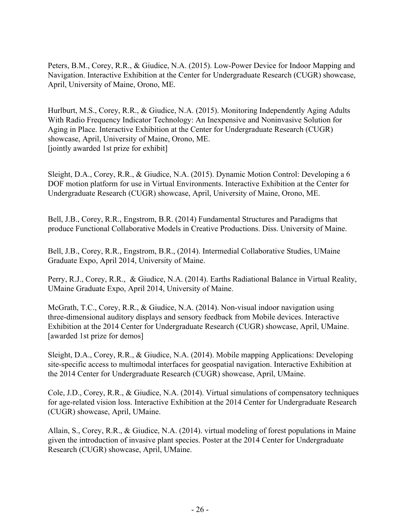Peters, B.M., Corey, R.R., & Giudice, N.A. (2015). Low-Power Device for Indoor Mapping and Navigation. Interactive Exhibition at the Center for Undergraduate Research (CUGR) showcase, April, University of Maine, Orono, ME.

Hurlburt, M.S., Corey, R.R., & Giudice, N.A. (2015). Monitoring Independently Aging Adults With Radio Frequency Indicator Technology: An Inexpensive and Noninvasive Solution for Aging in Place. Interactive Exhibition at the Center for Undergraduate Research (CUGR) showcase, April, University of Maine, Orono, ME. [jointly awarded 1st prize for exhibit]

Sleight, D.A., Corey, R.R., & Giudice, N.A. (2015). Dynamic Motion Control: Developing a 6 DOF motion platform for use in Virtual Environments. Interactive Exhibition at the Center for Undergraduate Research (CUGR) showcase, April, University of Maine, Orono, ME.

Bell, J.B., Corey, R.R., Engstrom, B.R. (2014) Fundamental Structures and Paradigms that produce Functional Collaborative Models in Creative Productions. Diss. University of Maine.

Bell, J.B., Corey, R.R., Engstrom, B.R., (2014). Intermedial Collaborative Studies, UMaine Graduate Expo, April 2014, University of Maine.

Perry, R.J., Corey, R.R., & Giudice, N.A. (2014). Earths Radiational Balance in Virtual Reality, UMaine Graduate Expo, April 2014, University of Maine.

McGrath, T.C., Corey, R.R., & Giudice, N.A. (2014). Non-visual indoor navigation using three-dimensional auditory displays and sensory feedback from Mobile devices. Interactive Exhibition at the 2014 Center for Undergraduate Research (CUGR) showcase, April, UMaine. [awarded 1st prize for demos]

Sleight, D.A., Corey, R.R., & Giudice, N.A. (2014). Mobile mapping Applications: Developing site-specific access to multimodal interfaces for geospatial navigation. Interactive Exhibition at the 2014 Center for Undergraduate Research (CUGR) showcase, April, UMaine.

Cole, J.D., Corey, R.R., & Giudice, N.A. (2014). Virtual simulations of compensatory techniques for age-related vision loss. Interactive Exhibition at the 2014 Center for Undergraduate Research (CUGR) showcase, April, UMaine.

Allain, S., Corey, R.R., & Giudice, N.A. (2014). virtual modeling of forest populations in Maine given the introduction of invasive plant species. Poster at the 2014 Center for Undergraduate Research (CUGR) showcase, April, UMaine.